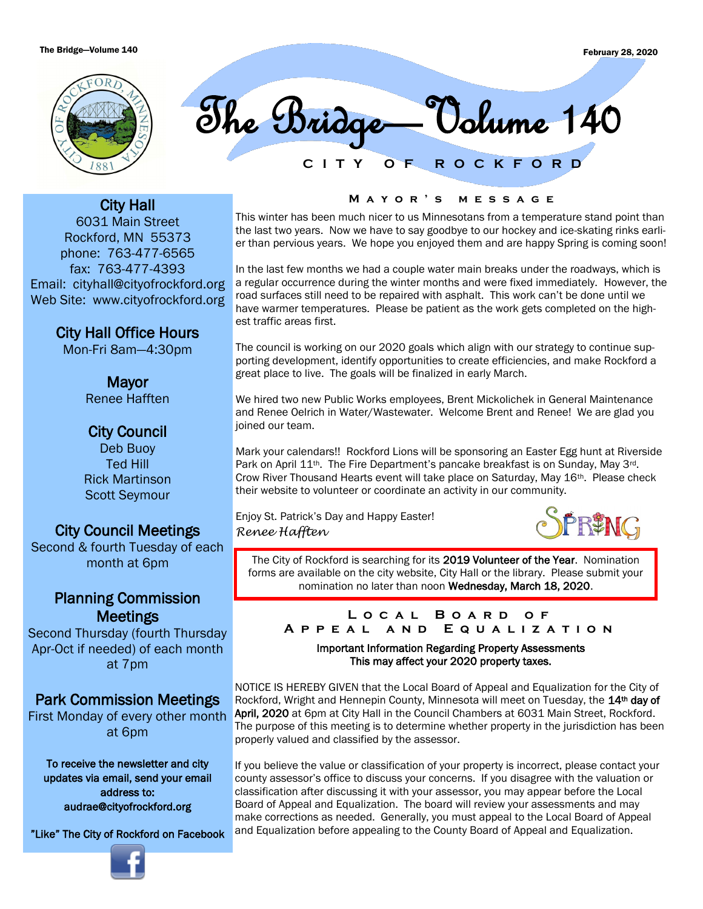

**C I T Y O F R O C K F O R D** The Bridge—Volume 140

City Hall 6031 Main Street Rockford, MN 55373 phone: 763-477-6565 fax: 763-477-4393 Email: cityhall@cityofrockford.org Web Site: www.cityofrockford.org

City Hall Office Hours

Mon-Fri 8am—4:30pm

Mayor Renee Hafften

# City Council

Deb Buoy Ted Hill Rick Martinson Scott Seymour

# City Council Meetings

Second & fourth Tuesday of each month at 6pm

# Planning Commission Meetings

Second Thursday (fourth Thursday Apr-Oct if needed) of each month at 7pm

# Park Commission Meetings

First Monday of every other month at 6pm

To receive the newsletter and city updates via email, send your email address to: audrae@cityofrockford.org

"Like" The City of Rockford on Facebook



#### **M a y o r ' s m e s s a g e**

This winter has been much nicer to us Minnesotans from a temperature stand point than the last two years. Now we have to say goodbye to our hockey and ice-skating rinks earlier than pervious years. We hope you enjoyed them and are happy Spring is coming soon!

In the last few months we had a couple water main breaks under the roadways, which is a regular occurrence during the winter months and were fixed immediately. However, the road surfaces still need to be repaired with asphalt. This work can't be done until we have warmer temperatures. Please be patient as the work gets completed on the highest traffic areas first.

The council is working on our 2020 goals which align with our strategy to continue supporting development, identify opportunities to create efficiencies, and make Rockford a great place to live. The goals will be finalized in early March.

We hired two new Public Works employees, Brent Mickolichek in General Maintenance and Renee Oelrich in Water/Wastewater. Welcome Brent and Renee! We are glad you joined our team.

Mark your calendars!! Rockford Lions will be sponsoring an Easter Egg hunt at Riverside Park on April 11<sup>th</sup>. The Fire Department's pancake breakfast is on Sunday, May 3<sup>rd</sup>. Crow River Thousand Hearts event will take place on Saturday, May 16th. Please check their website to volunteer or coordinate an activity in our community.

Enjoy St. Patrick's Day and Happy Easter! *Renee Hafften*



The City of Rockford is searching for its 2019 Volunteer of the Year. Nomination forms are available on the city website, City Hall or the library. Please submit your nomination no later than noon Wednesday, March 18, 2020.

#### **L o c a l B o a r d o f A p p e a l a n d E q u a l i z a t i o n**

Important Information Regarding Property Assessments This may affect your 2020 property taxes.

NOTICE IS HEREBY GIVEN that the Local Board of Appeal and Equalization for the City of Rockford, Wright and Hennepin County, Minnesota will meet on Tuesday, the 14<sup>th</sup> day of April, 2020 at 6pm at City Hall in the Council Chambers at 6031 Main Street, Rockford. The purpose of this meeting is to determine whether property in the jurisdiction has been properly valued and classified by the assessor.

If you believe the value or classification of your property is incorrect, please contact your county assessor's office to discuss your concerns. If you disagree with the valuation or classification after discussing it with your assessor, you may appear before the Local Board of Appeal and Equalization. The board will review your assessments and may make corrections as needed. Generally, you must appeal to the Local Board of Appeal and Equalization before appealing to the County Board of Appeal and Equalization.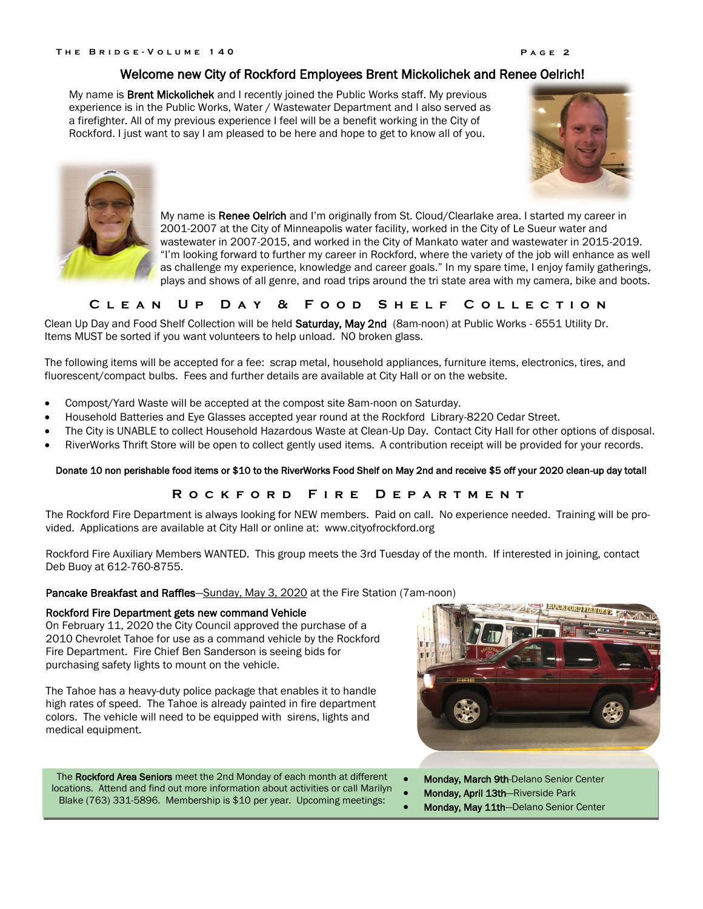My name is **Brent Mickolichek** and I recently joined the Public Works staff. My previous experience is in the Public Works, Water / Wastewater Department and I also served as a firefighter. All of my previous experience I feel will be a benefit working in the City of Rockford. I just want to say I am pleased to be here and hope to get to know all of you.





My name is Renee Oelrich and I'm originally from St. Cloud/Clearlake area. I started my career in 2001-2007 at the City of Minneapolis water facility, worked in the City of Le Sueur water and wastewater in 2007-2015, and worked in the City of Mankato water and wastewater in 2015-2019. "I'm looking forward to further my career in Rockford, where the variety of the job will enhance as well as challenge my experience, knowledge and career goals." In my spare time, I enjoy family gatherings, plays and shows of all genre, and road trips around the tri state area with my camera, bike and boots.

## **CLEAN UP DAY & FOOD SHELF COLLECTION**

Clean Up Day and Food Shelf Collection will be held Saturday, May 2nd (8am-noon) at Public Works - 6551 Utility Dr. Items MUST be sorted if you want volunteers to help unload. NO broken glass.

The following items will be accepted for a fee: scrap metal, household appliances, furniture items, electronics, tires, and fluorescent/compact bulbs. Fees and further details are available at City Hall or on the website.

- Compost/Yard Waste will be accepted at the compost site 8am-noon on Saturday.
- Household Batteries and Eye Glasses accepted year round at the Rockford Library-8220 Cedar Street.
- The City is UNABLE to collect Household Hazardous Waste at Clean-Up Day. Contact City Hall for other options of disposal.
- RiverWorks Thrift Store will be open to collect gently used items. A contribution receipt will be provided for your records.

#### Donate 10 non perishable food items or \$10 to the RiverWorks Food Shelf on May 2nd and receive \$5 off your 2020 clean-up day total!

## **R o c k f o r d F i r e D e p a r t m e n t**

The Rockford Fire Department is always looking for NEW members. Paid on call. No experience needed. Training will be provided. Applications are available at City Hall or online at: www.cityofrockford.org

Rockford Fire Auxiliary Members WANTED. This group meets the 3rd Tuesday of the month. If interested in joining, contact Deb Buoy at 612-760-8755.

## Pancake Breakfast and Raffles-Sunday, May 3, 2020 at the Fire Station (7am-noon)

#### Rockford Fire Department gets new command Vehicle

On February 11, 2020 the City Council approved the purchase of a 2010 Chevrolet Tahoe for use as a command vehicle by the Rockford Fire Department. Fire Chief Ben Sanderson is seeing bids for purchasing safety lights to mount on the vehicle.

The Tahoe has a heavy-duty police package that enables it to handle high rates of speed. The Tahoe is already painted in fire department colors. The vehicle will need to be equipped with sirens, lights and medical equipment.

The Rockford Area Seniors meet the 2nd Monday of each month at different locations. Attend and find out more information about activities or call Marilyn Blake (763) 331-5896. Membership is \$10 per year. Upcoming meetings:



- Monday, March 9th-Delano Senior Center
- Monday, April 13th-Riverside Park
- Monday, May 11th-Delano Senior Center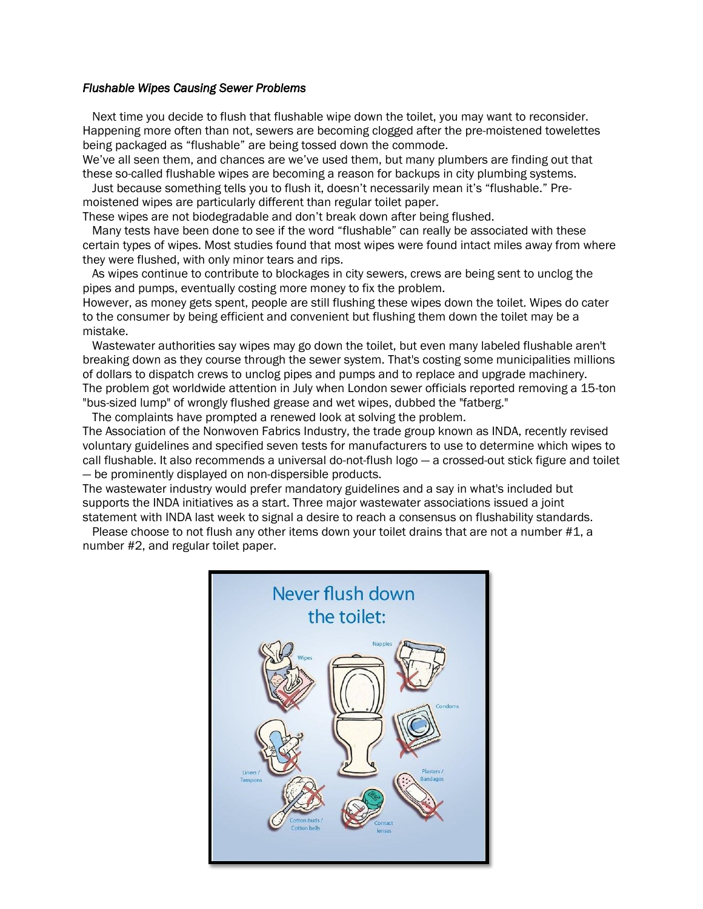## *Flushable Wipes Causing Sewer Problems*

 Next time you decide to flush that flushable wipe down the toilet, you may want to reconsider. Happening more often than not, sewers are becoming clogged after the pre-moistened towelettes being packaged as "flushable" are being tossed down the commode.

We've all seen them, and chances are we've used them, but many plumbers are finding out that these so-called flushable wipes are becoming a reason for backups in city plumbing systems.

 Just because something tells you to flush it, doesn't necessarily mean it's "flushable." Premoistened wipes are particularly different than regular toilet paper.

These wipes are not biodegradable and don't break down after being flushed.

 Many tests have been done to see if the word "flushable" can really be associated with these certain types of wipes. Most studies found that most wipes were found intact miles away from where they were flushed, with only minor tears and rips.

 As wipes continue to contribute to blockages in city sewers, crews are being sent to unclog the pipes and pumps, eventually costing more money to fix the problem.

However, as money gets spent, people are still flushing these wipes down the toilet. Wipes do cater to the consumer by being efficient and convenient but flushing them down the toilet may be a mistake.

 Wastewater authorities say wipes may go down the toilet, but even many labeled flushable aren't breaking down as they course through the sewer system. That's costing some municipalities millions of dollars to dispatch crews to unclog pipes and pumps and to replace and upgrade machinery. The problem got worldwide attention in July when London sewer officials reported removing a 15-ton "bus-sized lump" of wrongly flushed grease and wet wipes, dubbed the "fatberg."

The complaints have prompted a renewed look at solving the problem.

The Association of the Nonwoven Fabrics Industry, the trade group known as INDA, recently revised voluntary guidelines and specified seven tests for manufacturers to use to determine which wipes to call flushable. It also recommends a universal do-not-flush logo — a crossed-out stick figure and toilet — be prominently displayed on non-dispersible products.

The wastewater industry would prefer mandatory guidelines and a say in what's included but supports the INDA initiatives as a start. Three major wastewater associations issued a joint statement with INDA last week to signal a desire to reach a consensus on flushability standards.

Please choose to not flush any other items down your toilet drains that are not a number #1, a number #2, and regular toilet paper.

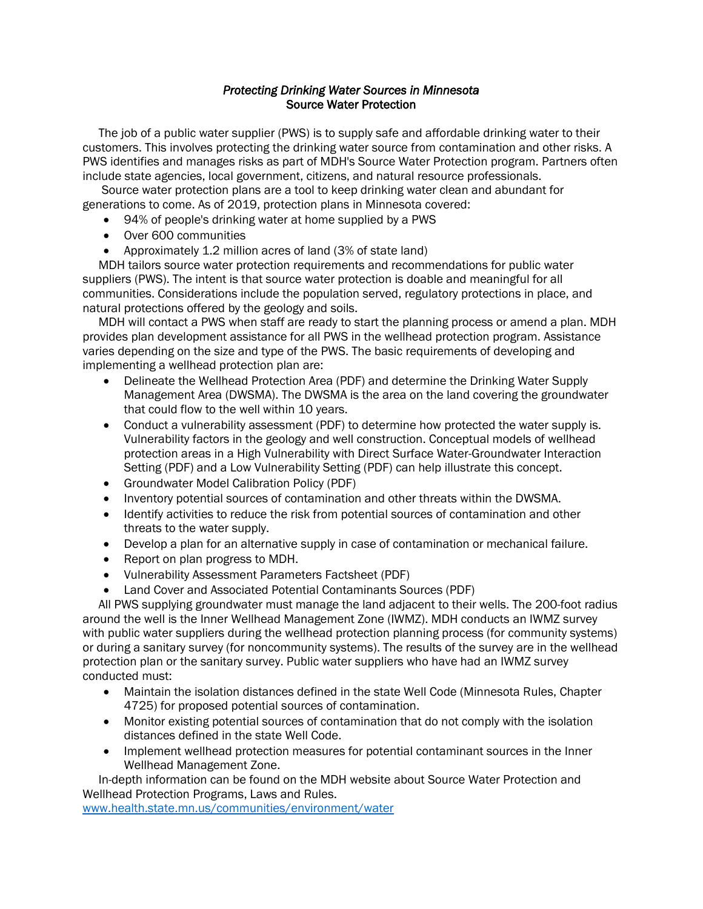## *Protecting Drinking Water Sources in Minnesota*  Source Water Protection

 The job of a public water supplier (PWS) is to supply safe and affordable drinking water to their customers. This involves protecting the drinking water source from contamination and other risks. A PWS identifies and manages risks as part of MDH's Source Water Protection program. Partners often include state agencies, local government, citizens, and natural resource professionals.

 Source water protection plans are a tool to keep drinking water clean and abundant for generations to come. As of 2019, protection plans in Minnesota covered:

- 94% of people's drinking water at home supplied by a PWS
- Over 600 communities
- Approximately 1.2 million acres of land (3% of state land)

 MDH tailors source water protection requirements and recommendations for public water suppliers (PWS). The intent is that source water protection is doable and meaningful for all communities. Considerations include the population served, regulatory protections in place, and natural protections offered by the geology and soils.

 MDH will contact a PWS when staff are ready to start the planning process or amend a plan. MDH provides plan development assistance for all PWS in the wellhead protection program. Assistance varies depending on the size and type of the PWS. The basic requirements of developing and implementing a wellhead protection plan are:

- Delineate the Wellhead Protection Area (PDF) and determine the Drinking Water Supply Management Area (DWSMA). The DWSMA is the area on the land covering the groundwater that could flow to the well within 10 years.
- Conduct a vulnerability assessment (PDF) to determine how protected the water supply is. Vulnerability factors in the geology and well construction. Conceptual models of wellhead protection areas in a High Vulnerability with Direct Surface Water-Groundwater Interaction Setting (PDF) and a Low Vulnerability Setting (PDF) can help illustrate this concept.
- Groundwater Model Calibration Policy (PDF)
- Inventory potential sources of contamination and other threats within the DWSMA.
- Identify activities to reduce the risk from potential sources of contamination and other threats to the water supply.
- Develop a plan for an alternative supply in case of contamination or mechanical failure.
- Report on plan progress to MDH.
- Vulnerability Assessment Parameters Factsheet (PDF)
- Land Cover and Associated Potential Contaminants Sources (PDF)

 All PWS supplying groundwater must manage the land adjacent to their wells. The 200-foot radius around the well is the Inner Wellhead Management Zone (IWMZ). MDH conducts an IWMZ survey with public water suppliers during the wellhead protection planning process (for community systems) or during a sanitary survey (for noncommunity systems). The results of the survey are in the wellhead protection plan or the sanitary survey. Public water suppliers who have had an IWMZ survey conducted must:

- Maintain the isolation distances defined in the state Well Code (Minnesota Rules, Chapter 4725) for proposed potential sources of contamination.
- Monitor existing potential sources of contamination that do not comply with the isolation distances defined in the state Well Code.
- Implement wellhead protection measures for potential contaminant sources in the Inner Wellhead Management Zone.

 In-depth information can be found on the MDH website about Source Water Protection and Wellhead Protection Programs, Laws and Rules.

[www.health.state.mn.us/communities/environment/water](http://www.health.state.mn.us/communities/environment/water)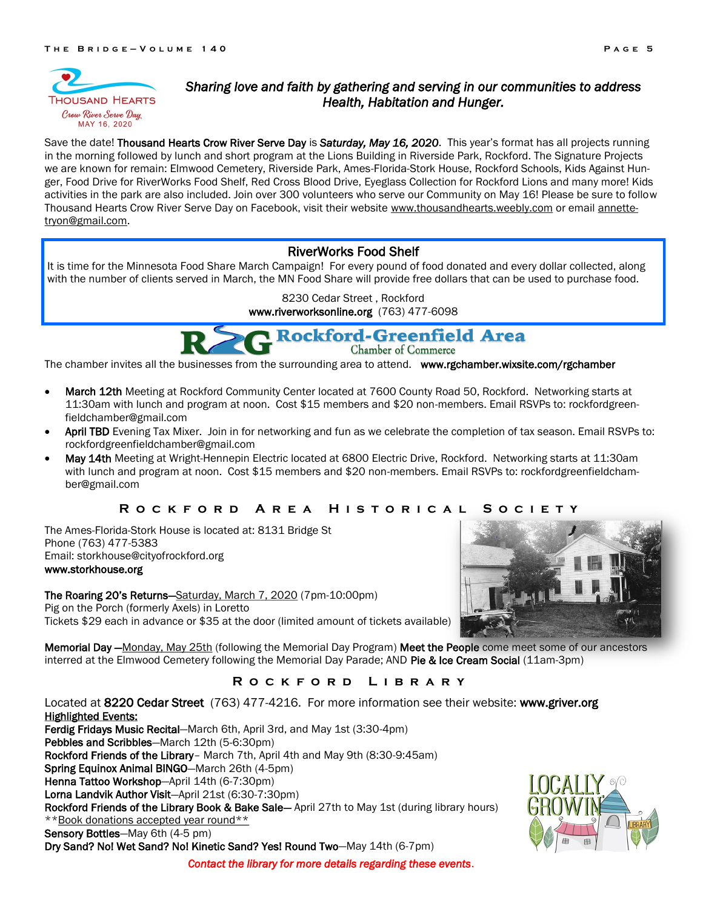

## *Sharing love and faith by gathering and serving in our communities to address Health, Habitation and Hunger.*

Save the date! Thousand Hearts Crow River Serve Day is *Saturday, May 16, 2020*. This year's format has all projects running in the morning followed by lunch and short program at the Lions Building in Riverside Park, Rockford. The Signature Projects we are known for remain: Elmwood Cemetery, Riverside Park, Ames-Florida-Stork House, Rockford Schools, Kids Against Hunger, Food Drive for RiverWorks Food Shelf, Red Cross Blood Drive, Eyeglass Collection for Rockford Lions and many more! Kids activities in the park are also included. Join over 300 volunteers who serve our Community on May 16! Please be sure to follow Thousand Hearts Crow River Serve Day on Facebook, visit their website [www.thousandhearts.weebly.com](http://www.thousandhearts.weebly.com) or email [annette](mailto:annettetryon@gmail.com)[tryon@gmail.com.](mailto:annettetryon@gmail.com)

## RiverWorks Food Shelf

It is time for the Minnesota Food Share March Campaign! For every pound of food donated and every dollar collected, along with the number of clients served in March, the MN Food Share will provide free dollars that can be used to purchase food.

8230 Cedar Street , Rockford

www.riverworksonline.org (763) 477-6098

# **Rockford-Greenfield Area**

Chamber of Commerce

The chamber invites all the businesses from the surrounding area to attend. www.rgchamber.wixsite.com/rgchamber

- March 12th Meeting at Rockford Community Center located at 7600 County Road 50, Rockford. Networking starts at 11:30am with lunch and program at noon. Cost \$15 members and \$20 non-members. Email RSVPs to: rockfordgreenfieldchamber@gmail.com
- April TBD Evening Tax Mixer. Join in for networking and fun as we celebrate the completion of tax season. Email RSVPs to: rockfordgreenfieldchamber@gmail.com
- May 14th Meeting at Wright-Hennepin Electric located at 6800 Electric Drive, Rockford. Networking starts at 11:30am with lunch and program at noon. Cost \$15 members and \$20 non-members. Email RSVPs to: rockfordgreenfieldchamber@gmail.com

## **R o c k f o r d A r e a H i s t o r i c a l S o c i e t y**

The Ames-Florida-Stork House is located at: 8131 Bridge St Phone (763) 477-5383 Email: storkhouse@cityofrockford.org www.storkhouse.org

The Roaring 20's Returns—Saturday, March 7, 2020 (7pm-10:00pm) Pig on the Porch (formerly Axels) in Loretto Tickets \$29 each in advance or \$35 at the door (limited amount of tickets available)

Memorial Day -Monday, May 25th (following the Memorial Day Program) Meet the People come meet some of our ancestors interred at the Elmwood Cemetery following the Memorial Day Parade; AND Pie & Ice Cream Social (11am-3pm)

## **R o c k f o r d L i b r a r y**

Located at 8220 Cedar Street (763) 477-4216. For more information see their website: www.griver.org Highlighted Events:

Ferdig Fridays Music Recital-March 6th, April 3rd, and May 1st (3:30-4pm) Pebbles and Scribbles—March 12th (5-6:30pm) Rockford Friends of the Library– March 7th, April 4th and May 9th (8:30-9:45am) Spring Equinox Animal BINGO—March 26th (4-5pm) Henna Tattoo Workshop-April 14th (6-7:30pm) Lorna Landvik Author Visit—April 21st (6:30-7:30pm) Rockford Friends of the Library Book & Bake Sale- April 27th to May 1st (during library hours) \*\*Book donations accepted year round\*\* Sensory Bottles-May 6th (4-5 pm)

Dry Sand? No! Wet Sand? No! Kinetic Sand? Yes! Round Two—May 14th (6-7pm)

*Contact the library for more details regarding these events*.